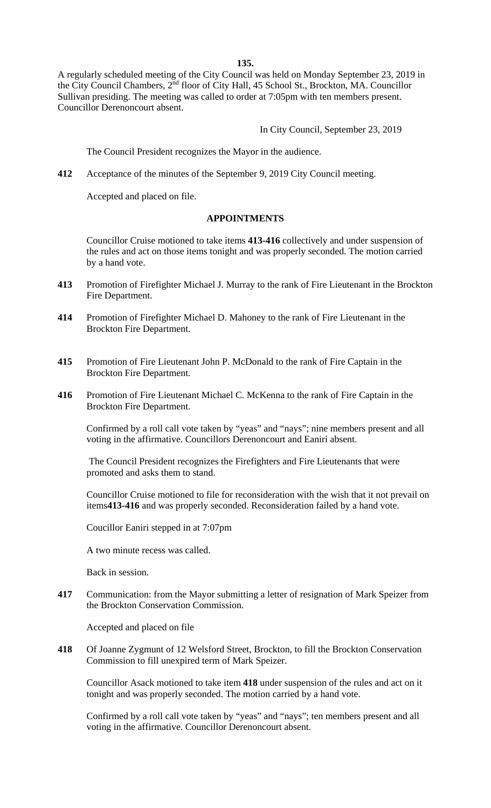**135.** 

A regularly scheduled meeting of the City Council was held on Monday September 23, 2019 in the City Council Chambers, 2nd floor of City Hall, 45 School St., Brockton, MA. Councillor Sullivan presiding. The meeting was called to order at 7:05pm with ten members present. Councillor Derenoncourt absent.

In City Council, September 23, 2019

The Council President recognizes the Mayor in the audience.

**412** Acceptance of the minutes of the September 9, 2019 City Council meeting.

Accepted and placed on file.

#### **APPOINTMENTS**

Councillor Cruise motioned to take items **413-416** collectively and under suspension of the rules and act on those items tonight and was properly seconded. The motion carried by a hand vote.

- **413** Promotion of Firefighter Michael J. Murray to the rank of Fire Lieutenant in the Brockton Fire Department.
- **414** Promotion of Firefighter Michael D. Mahoney to the rank of Fire Lieutenant in the Brockton Fire Department.
- **415** Promotion of Fire Lieutenant John P. McDonald to the rank of Fire Captain in the Brockton Fire Department.
- **416** Promotion of Fire Lieutenant Michael C. McKenna to the rank of Fire Captain in the Brockton Fire Department.

Confirmed by a roll call vote taken by "yeas" and "nays"; nine members present and all voting in the affirmative. Councillors Derenoncourt and Eaniri absent.

 The Council President recognizes the Firefighters and Fire Lieutenants that were promoted and asks them to stand.

Councillor Cruise motioned to file for reconsideration with the wish that it not prevail on items**413-416** and was properly seconded. Reconsideration failed by a hand vote.

Coucillor Eaniri stepped in at 7:07pm

A two minute recess was called.

Back in session.

**417** Communication: from the Mayor submitting a letter of resignation of Mark Speizer from the Brockton Conservation Commission.

Accepted and placed on file

**418** Of Joanne Zygmunt of 12 Welsford Street, Brockton, to fill the Brockton Conservation Commission to fill unexpired term of Mark Speizer.

Councillor Asack motioned to take item **418** under suspension of the rules and act on it tonight and was properly seconded. The motion carried by a hand vote.

Confirmed by a roll call vote taken by "yeas" and "nays"; ten members present and all voting in the affirmative. Councillor Derenoncourt absent.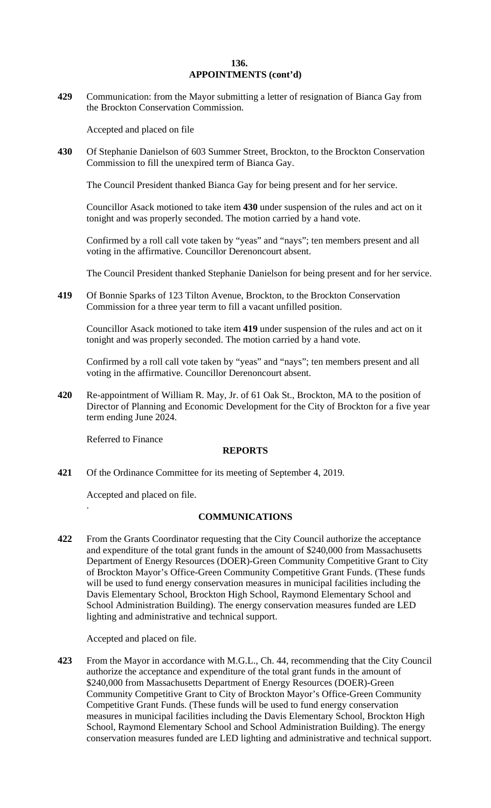#### **136. 136. APPOINTMENTS (cont'd)**

**429** Communication: from the Mayor submitting a letter of resignation of Bianca Gay from the Brockton Conservation Commission.

Accepted and placed on file

**430** Of Stephanie Danielson of 603 Summer Street, Brockton, to the Brockton Conservation Commission to fill the unexpired term of Bianca Gay.

The Council President thanked Bianca Gay for being present and for her service.

Councillor Asack motioned to take item **430** under suspension of the rules and act on it tonight and was properly seconded. The motion carried by a hand vote.

Confirmed by a roll call vote taken by "yeas" and "nays"; ten members present and all voting in the affirmative. Councillor Derenoncourt absent.

The Council President thanked Stephanie Danielson for being present and for her service.

**419** Of Bonnie Sparks of 123 Tilton Avenue, Brockton, to the Brockton Conservation Commission for a three year term to fill a vacant unfilled position.

Councillor Asack motioned to take item **419** under suspension of the rules and act on it tonight and was properly seconded. The motion carried by a hand vote.

Confirmed by a roll call vote taken by "yeas" and "nays"; ten members present and all voting in the affirmative. Councillor Derenoncourt absent.

**420** Re-appointment of William R. May, Jr. of 61 Oak St., Brockton, MA to the position of Director of Planning and Economic Development for the City of Brockton for a five year term ending June 2024.

Referred to Finance

.

#### **REPORTS**

**421** Of the Ordinance Committee for its meeting of September 4, 2019.

Accepted and placed on file.

#### **COMMUNICATIONS**

**422** From the Grants Coordinator requesting that the City Council authorize the acceptance and expenditure of the total grant funds in the amount of \$240,000 from Massachusetts Department of Energy Resources (DOER)-Green Community Competitive Grant to City of Brockton Mayor's Office-Green Community Competitive Grant Funds. (These funds will be used to fund energy conservation measures in municipal facilities including the Davis Elementary School, Brockton High School, Raymond Elementary School and School Administration Building). The energy conservation measures funded are LED lighting and administrative and technical support.

Accepted and placed on file.

**423** From the Mayor in accordance with M.G.L., Ch. 44, recommending that the City Council authorize the acceptance and expenditure of the total grant funds in the amount of \$240,000 from Massachusetts Department of Energy Resources (DOER)-Green Community Competitive Grant to City of Brockton Mayor's Office-Green Community Competitive Grant Funds. (These funds will be used to fund energy conservation measures in municipal facilities including the Davis Elementary School, Brockton High School, Raymond Elementary School and School Administration Building). The energy conservation measures funded are LED lighting and administrative and technical support.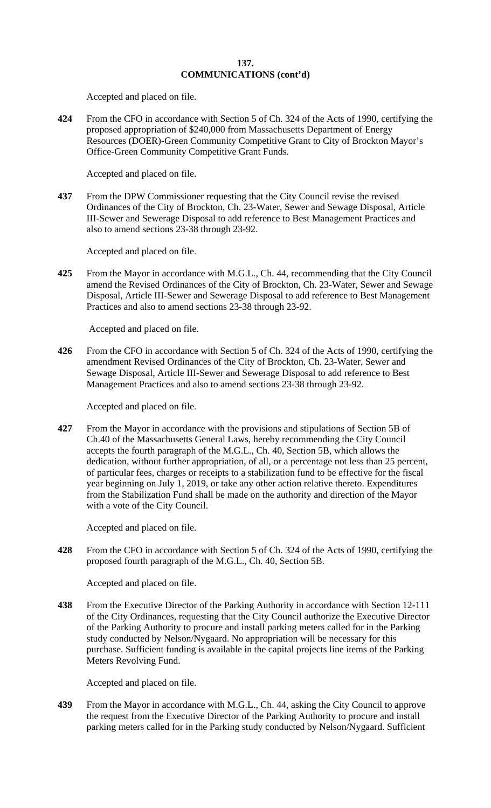## **137. COMMUNICATIONS (cont'd)**

Accepted and placed on file.

**424** From the CFO in accordance with Section 5 of Ch. 324 of the Acts of 1990, certifying the proposed appropriation of \$240,000 from Massachusetts Department of Energy Resources (DOER)-Green Community Competitive Grant to City of Brockton Mayor's Office-Green Community Competitive Grant Funds.

Accepted and placed on file.

**437** From the DPW Commissioner requesting that the City Council revise the revised Ordinances of the City of Brockton, Ch. 23-Water, Sewer and Sewage Disposal, Article III-Sewer and Sewerage Disposal to add reference to Best Management Practices and also to amend sections 23-38 through 23-92.

Accepted and placed on file.

**425** From the Mayor in accordance with M.G.L., Ch. 44, recommending that the City Council amend the Revised Ordinances of the City of Brockton, Ch. 23-Water, Sewer and Sewage Disposal, Article III-Sewer and Sewerage Disposal to add reference to Best Management Practices and also to amend sections 23-38 through 23-92.

Accepted and placed on file.

**426** From the CFO in accordance with Section 5 of Ch. 324 of the Acts of 1990, certifying the amendment Revised Ordinances of the City of Brockton, Ch. 23-Water, Sewer and Sewage Disposal, Article III-Sewer and Sewerage Disposal to add reference to Best Management Practices and also to amend sections 23-38 through 23-92.

Accepted and placed on file.

**427** From the Mayor in accordance with the provisions and stipulations of Section 5B of Ch.40 of the Massachusetts General Laws, hereby recommending the City Council accepts the fourth paragraph of the M.G.L., Ch. 40, Section 5B, which allows the dedication, without further appropriation, of all, or a percentage not less than 25 percent, of particular fees, charges or receipts to a stabilization fund to be effective for the fiscal year beginning on July 1, 2019, or take any other action relative thereto. Expenditures from the Stabilization Fund shall be made on the authority and direction of the Mayor with a vote of the City Council.

Accepted and placed on file.

**428** From the CFO in accordance with Section 5 of Ch. 324 of the Acts of 1990, certifying the proposed fourth paragraph of the M.G.L., Ch. 40, Section 5B.

Accepted and placed on file.

**438** From the Executive Director of the Parking Authority in accordance with Section 12-111 of the City Ordinances, requesting that the City Council authorize the Executive Director of the Parking Authority to procure and install parking meters called for in the Parking study conducted by Nelson/Nygaard. No appropriation will be necessary for this purchase. Sufficient funding is available in the capital projects line items of the Parking Meters Revolving Fund.

Accepted and placed on file.

**439** From the Mayor in accordance with M.G.L., Ch. 44, asking the City Council to approve the request from the Executive Director of the Parking Authority to procure and install parking meters called for in the Parking study conducted by Nelson/Nygaard. Sufficient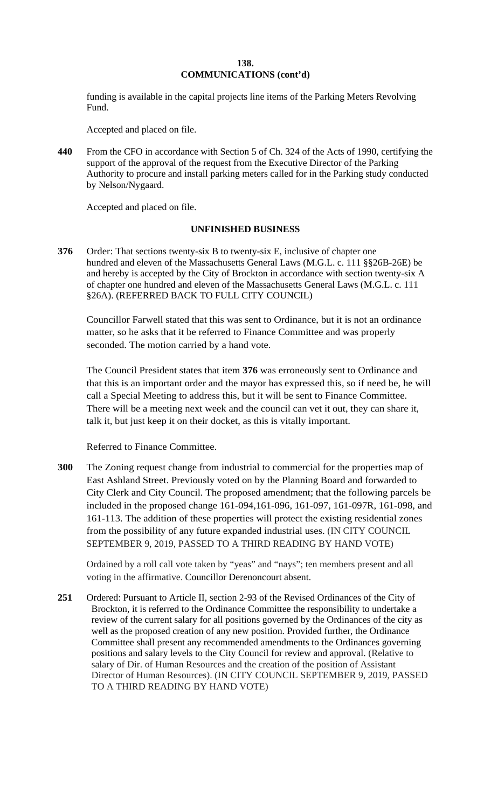## **138. COMMUNICATIONS (cont'd)**

funding is available in the capital projects line items of the Parking Meters Revolving Fund.

Accepted and placed on file.

**440** From the CFO in accordance with Section 5 of Ch. 324 of the Acts of 1990, certifying the support of the approval of the request from the Executive Director of the Parking Authority to procure and install parking meters called for in the Parking study conducted by Nelson/Nygaard.

Accepted and placed on file.

# **UNFINISHED BUSINESS**

**376** Order: That sections twenty-six B to twenty-six E, inclusive of chapter one hundred and eleven of the Massachusetts General Laws (M.G.L. c. 111 §§26B-26E) be and hereby is accepted by the City of Brockton in accordance with section twenty-six A of chapter one hundred and eleven of the Massachusetts General Laws (M.G.L. c. 111 §26A). (REFERRED BACK TO FULL CITY COUNCIL)

Councillor Farwell stated that this was sent to Ordinance, but it is not an ordinance matter, so he asks that it be referred to Finance Committee and was properly seconded. The motion carried by a hand vote.

The Council President states that item **376** was erroneously sent to Ordinance and that this is an important order and the mayor has expressed this, so if need be, he will call a Special Meeting to address this, but it will be sent to Finance Committee. There will be a meeting next week and the council can vet it out, they can share it, talk it, but just keep it on their docket, as this is vitally important.

Referred to Finance Committee.

**300** The Zoning request change from industrial to commercial for the properties map of East Ashland Street. Previously voted on by the Planning Board and forwarded to City Clerk and City Council. The proposed amendment; that the following parcels be included in the proposed change 161-094,161-096, 161-097, 161-097R, 161-098, and 161-113. The addition of these properties will protect the existing residential zones from the possibility of any future expanded industrial uses. (IN CITY COUNCIL SEPTEMBER 9, 2019, PASSED TO A THIRD READING BY HAND VOTE)

Ordained by a roll call vote taken by "yeas" and "nays"; ten members present and all voting in the affirmative. Councillor Derenoncourt absent.

**251** Ordered: Pursuant to Article II, section 2-93 of the Revised Ordinances of the City of Brockton, it is referred to the Ordinance Committee the responsibility to undertake a review of the current salary for all positions governed by the Ordinances of the city as well as the proposed creation of any new position. Provided further, the Ordinance Committee shall present any recommended amendments to the Ordinances governing positions and salary levels to the City Council for review and approval. (Relative to salary of Dir. of Human Resources and the creation of the position of Assistant Director of Human Resources). (IN CITY COUNCIL SEPTEMBER 9, 2019, PASSED TO A THIRD READING BY HAND VOTE)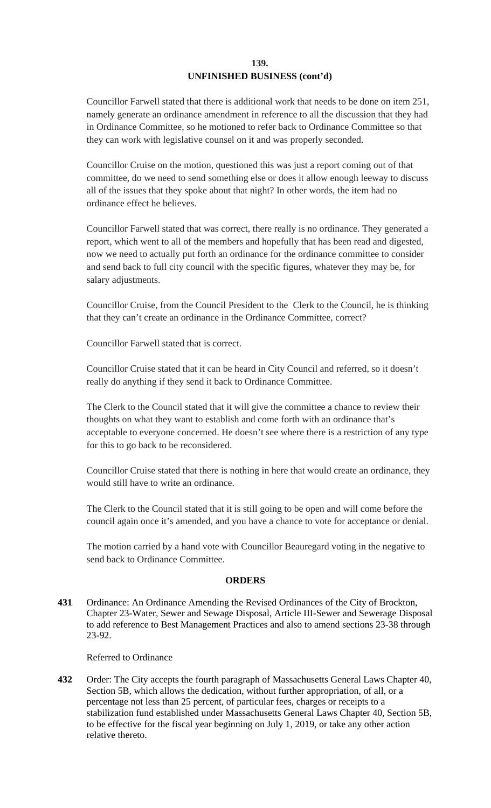## **139. UNFINISHED BUSINESS (cont'd)**

Councillor Farwell stated that there is additional work that needs to be done on item 251, namely generate an ordinance amendment in reference to all the discussion that they had in Ordinance Committee, so he motioned to refer back to Ordinance Committee so that they can work with legislative counsel on it and was properly seconded.

Councillor Cruise on the motion, questioned this was just a report coming out of that committee, do we need to send something else or does it allow enough leeway to discuss all of the issues that they spoke about that night? In other words, the item had no ordinance effect he believes.

Councillor Farwell stated that was correct, there really is no ordinance. They generated a report, which went to all of the members and hopefully that has been read and digested, now we need to actually put forth an ordinance for the ordinance committee to consider and send back to full city council with the specific figures, whatever they may be, for salary adjustments.

Councillor Cruise, from the Council President to the Clerk to the Council, he is thinking that they can't create an ordinance in the Ordinance Committee, correct?

Councillor Farwell stated that is correct.

Councillor Cruise stated that it can be heard in City Council and referred, so it doesn't really do anything if they send it back to Ordinance Committee.

The Clerk to the Council stated that it will give the committee a chance to review their thoughts on what they want to establish and come forth with an ordinance that's acceptable to everyone concerned. He doesn't see where there is a restriction of any type for this to go back to be reconsidered.

Councillor Cruise stated that there is nothing in here that would create an ordinance, they would still have to write an ordinance.

The Clerk to the Council stated that it is still going to be open and will come before the council again once it's amended, and you have a chance to vote for acceptance or denial.

The motion carried by a hand vote with Councillor Beauregard voting in the negative to send back to Ordinance Committee.

# **ORDERS**

**431** Ordinance: An Ordinance Amending the Revised Ordinances of the City of Brockton, Chapter 23-Water, Sewer and Sewage Disposal, Article III-Sewer and Sewerage Disposal to add reference to Best Management Practices and also to amend sections 23-38 through 23-92.

### Referred to Ordinance

**432** Order: The City accepts the fourth paragraph of Massachusetts General Laws Chapter 40, Section 5B, which allows the dedication, without further appropriation, of all, or a percentage not less than 25 percent, of particular fees, charges or receipts to a stabilization fund established under Massachusetts General Laws Chapter 40, Section 5B, to be effective for the fiscal year beginning on July 1, 2019, or take any other action relative thereto.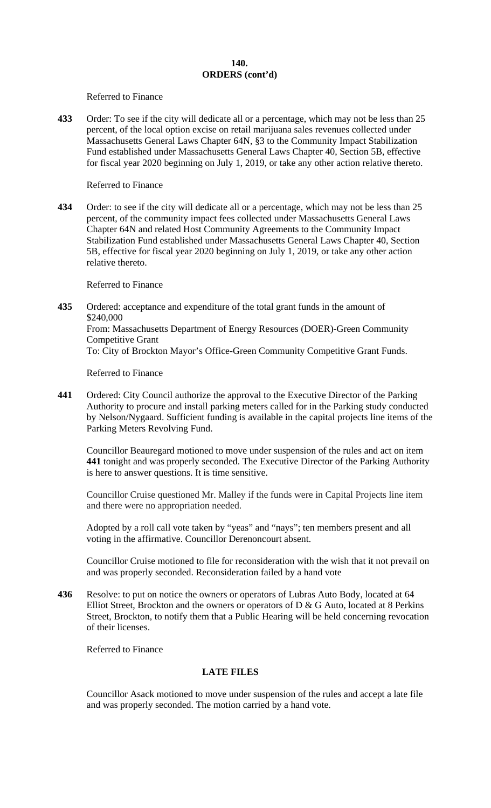Referred to Finance

**433** Order: To see if the city will dedicate all or a percentage, which may not be less than 25 percent, of the local option excise on retail marijuana sales revenues collected under Massachusetts General Laws Chapter 64N, §3 to the Community Impact Stabilization Fund established under Massachusetts General Laws Chapter 40, Section 5B, effective for fiscal year 2020 beginning on July 1, 2019, or take any other action relative thereto.

Referred to Finance

**434** Order: to see if the city will dedicate all or a percentage, which may not be less than 25 percent, of the community impact fees collected under Massachusetts General Laws Chapter 64N and related Host Community Agreements to the Community Impact Stabilization Fund established under Massachusetts General Laws Chapter 40, Section 5B*,* effective for fiscal year 2020 beginning on July 1, 2019, or take any other action relative thereto.

Referred to Finance

**435** Ordered: acceptance and expenditure of the total grant funds in the amount of \$240,000 From: Massachusetts Department of Energy Resources (DOER)-Green Community Competitive Grant To: City of Brockton Mayor's Office-Green Community Competitive Grant Funds.

Referred to Finance

**441** Ordered: City Council authorize the approval to the Executive Director of the Parking Authority to procure and install parking meters called for in the Parking study conducted by Nelson/Nygaard. Sufficient funding is available in the capital projects line items of the Parking Meters Revolving Fund.

Councillor Beauregard motioned to move under suspension of the rules and act on item **441** tonight and was properly seconded. The Executive Director of the Parking Authority is here to answer questions. It is time sensitive.

Councillor Cruise questioned Mr. Malley if the funds were in Capital Projects line item and there were no appropriation needed.

Adopted by a roll call vote taken by "yeas" and "nays"; ten members present and all voting in the affirmative. Councillor Derenoncourt absent.

Councillor Cruise motioned to file for reconsideration with the wish that it not prevail on and was properly seconded. Reconsideration failed by a hand vote

**436** Resolve: to put on notice the owners or operators of Lubras Auto Body, located at 64 Elliot Street, Brockton and the owners or operators of D & G Auto, located at 8 Perkins Street, Brockton, to notify them that a Public Hearing will be held concerning revocation of their licenses.

Referred to Finance

# **LATE FILES**

Councillor Asack motioned to move under suspension of the rules and accept a late file and was properly seconded. The motion carried by a hand vote.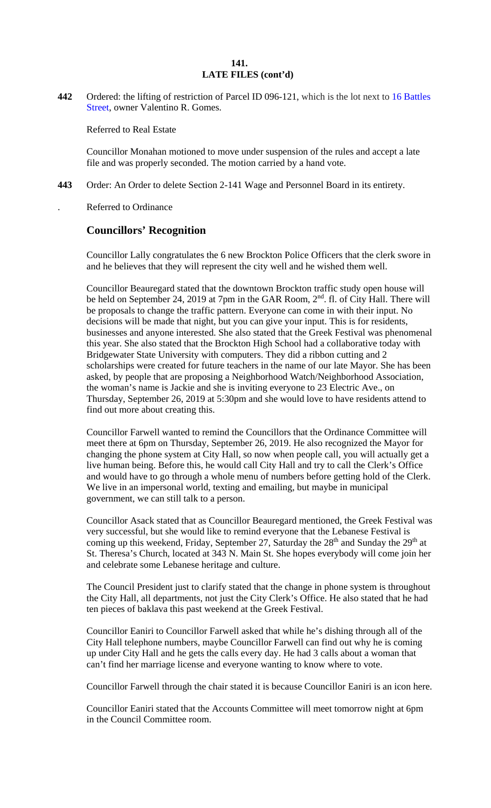## **141. 141. LATE FILES (cont'd)**

**442** Ordered: the lifting of restriction of Parcel ID 096-121, which is the lot next to 16 Battles Street, owner Valentino R. Gomes.

Referred to Real Estate

Councillor Monahan motioned to move under suspension of the rules and accept a late file and was properly seconded. The motion carried by a hand vote.

**443** Order: An Order to delete Section 2-141 Wage and Personnel Board in its entirety.

. Referred to Ordinance

# **Councillors' Recognition**

Councillor Lally congratulates the 6 new Brockton Police Officers that the clerk swore in and he believes that they will represent the city well and he wished them well.

Councillor Beauregard stated that the downtown Brockton traffic study open house will be held on September 24, 2019 at 7pm in the GAR Room, 2<sup>nd</sup>. fl. of City Hall. There will be proposals to change the traffic pattern. Everyone can come in with their input. No decisions will be made that night, but you can give your input. This is for residents, businesses and anyone interested. She also stated that the Greek Festival was phenomenal this year. She also stated that the Brockton High School had a collaborative today with Bridgewater State University with computers. They did a ribbon cutting and 2 scholarships were created for future teachers in the name of our late Mayor. She has been asked, by people that are proposing a Neighborhood Watch/Neighborhood Association, the woman's name is Jackie and she is inviting everyone to 23 Electric Ave., on Thursday, September 26, 2019 at 5:30pm and she would love to have residents attend to find out more about creating this.

Councillor Farwell wanted to remind the Councillors that the Ordinance Committee will meet there at 6pm on Thursday, September 26, 2019. He also recognized the Mayor for changing the phone system at City Hall, so now when people call, you will actually get a live human being. Before this, he would call City Hall and try to call the Clerk's Office and would have to go through a whole menu of numbers before getting hold of the Clerk. We live in an impersonal world, texting and emailing, but maybe in municipal government, we can still talk to a person.

Councillor Asack stated that as Councillor Beauregard mentioned, the Greek Festival was very successful, but she would like to remind everyone that the Lebanese Festival is coming up this weekend, Friday, September 27, Saturday the  $28<sup>th</sup>$  and Sunday the  $29<sup>th</sup>$  at St. Theresa's Church, located at 343 N. Main St. She hopes everybody will come join her and celebrate some Lebanese heritage and culture.

The Council President just to clarify stated that the change in phone system is throughout the City Hall, all departments, not just the City Clerk's Office. He also stated that he had ten pieces of baklava this past weekend at the Greek Festival.

Councillor Eaniri to Councillor Farwell asked that while he's dishing through all of the City Hall telephone numbers, maybe Councillor Farwell can find out why he is coming up under City Hall and he gets the calls every day. He had 3 calls about a woman that can't find her marriage license and everyone wanting to know where to vote.

Councillor Farwell through the chair stated it is because Councillor Eaniri is an icon here.

Councillor Eaniri stated that the Accounts Committee will meet tomorrow night at 6pm in the Council Committee room.